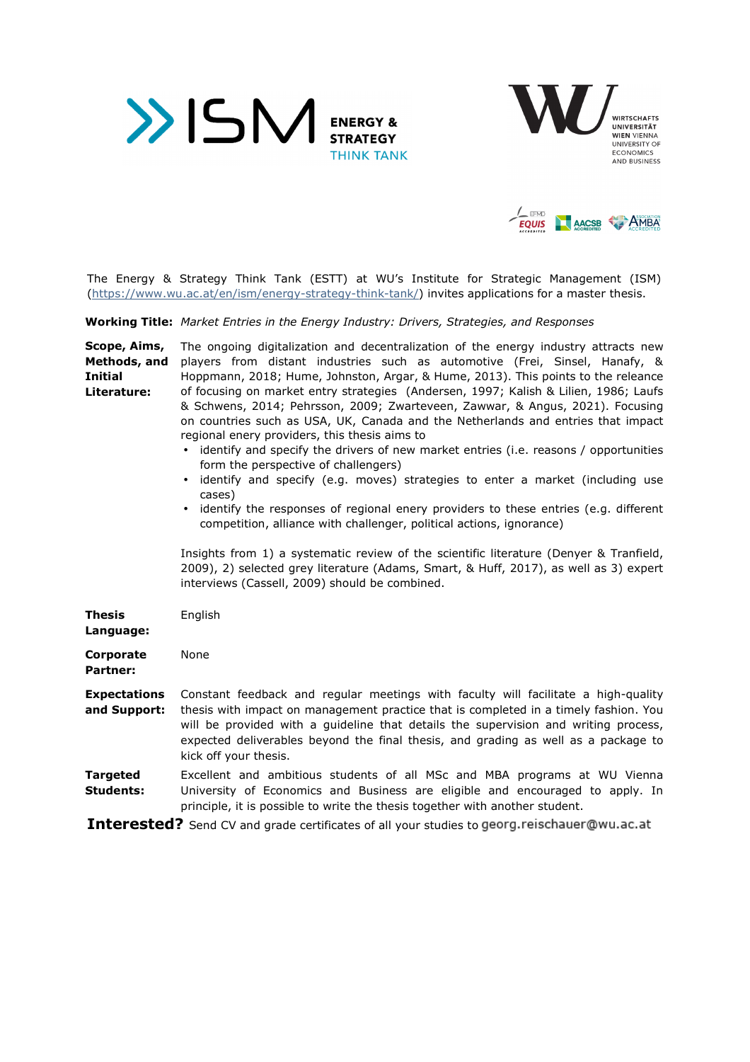





The Energy & Strategy Think Tank (ESTT) at WU's Institute for Strategic Management (ISM) (https://www.wu.ac.at/en/ism/energy-strategy-think-tank/) invites applications for a master thesis.

**Working Title:** *Market Entries in the Energy Industry: Drivers, Strategies, and Responses* 

| Scope, Aims,                        | The ongoing digitalization and decentralization of the energy industry attracts new                                                                                                                                                                                                                                                                                                                                                                                                                                                                                                                                                                                                                               |
|-------------------------------------|-------------------------------------------------------------------------------------------------------------------------------------------------------------------------------------------------------------------------------------------------------------------------------------------------------------------------------------------------------------------------------------------------------------------------------------------------------------------------------------------------------------------------------------------------------------------------------------------------------------------------------------------------------------------------------------------------------------------|
| Methods, and                        | players from distant industries such as automotive (Frei, Sinsel, Hanafy, &                                                                                                                                                                                                                                                                                                                                                                                                                                                                                                                                                                                                                                       |
| Initial                             | Hoppmann, 2018; Hume, Johnston, Argar, & Hume, 2013). This points to the releance                                                                                                                                                                                                                                                                                                                                                                                                                                                                                                                                                                                                                                 |
| Literature:                         | of focusing on market entry strategies (Andersen, 1997; Kalish & Lilien, 1986; Laufs<br>& Schwens, 2014; Pehrsson, 2009; Zwarteveen, Zawwar, & Angus, 2021). Focusing<br>on countries such as USA, UK, Canada and the Netherlands and entries that impact<br>regional enery providers, this thesis aims to<br>identify and specify the drivers of new market entries (i.e. reasons / opportunities<br>form the perspective of challengers)<br>identify and specify (e.g. moves) strategies to enter a market (including use<br>$\bullet$<br>cases)<br>identify the responses of regional enery providers to these entries (e.g. different<br>competition, alliance with challenger, political actions, ignorance) |
|                                     | Insights from 1) a systematic review of the scientific literature (Denyer & Tranfield,<br>2009), 2) selected grey literature (Adams, Smart, & Huff, 2017), as well as 3) expert<br>interviews (Cassell, 2009) should be combined.                                                                                                                                                                                                                                                                                                                                                                                                                                                                                 |
| Thesis<br>Language:                 | English                                                                                                                                                                                                                                                                                                                                                                                                                                                                                                                                                                                                                                                                                                           |
| <b>Corporate</b><br>Partner:        | None                                                                                                                                                                                                                                                                                                                                                                                                                                                                                                                                                                                                                                                                                                              |
| <b>Expectations</b><br>and Support: | Constant feedback and regular meetings with faculty will facilitate a high-quality<br>thesis with impact on management practice that is completed in a timely fashion. You<br>will be provided with a guideline that details the supervision and writing process,<br>expected deliverables beyond the final thesis, and grading as well as a package to<br>kick off your thesis.                                                                                                                                                                                                                                                                                                                                  |
| Targeted<br><b>Students:</b>        | Excellent and ambitious students of all MSc and MBA programs at WU Vienna<br>University of Economics and Business are eligible and encouraged to apply. In<br>principle, it is possible to write the thesis together with another student.                                                                                                                                                                                                                                                                                                                                                                                                                                                                        |
|                                     | the company of the company of the company of the company of the company of the company of the company of the company of the company of the company of the company of the company of the company of the company of the company                                                                                                                                                                                                                                                                                                                                                                                                                                                                                     |

**Interested?** Send CV and grade certificates of all your studies to georg.reischauer@wu.ac.at